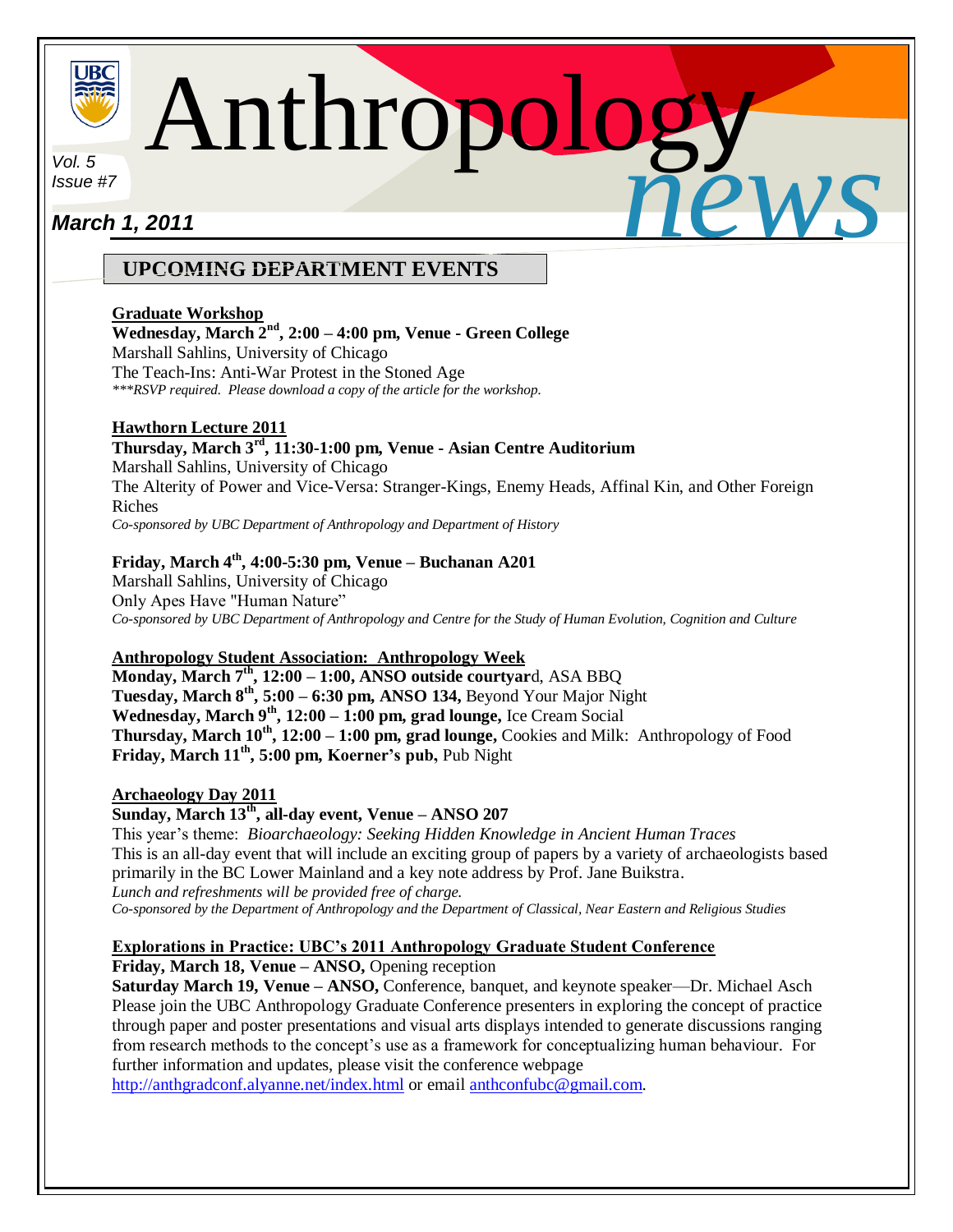

Anthropology *news*

*Vol. 5 Issue #7*

# i<br>L *March 1, 2011*

# **UPCOMING DEPARTMENT EVENTS**

# **Graduate Workshop**

## **Wednesday, March 2nd, 2:00 – 4:00 pm, Venue - Green College**

Marshall Sahlins, University of Chicago

The Teach-Ins: Anti-War Protest in the Stoned Age

*\*\*\*RSVP required. Please download a copy of the article for the workshop.*

# **Hawthorn Lecture 2011**

**Thursday, March 3rd, 11:30-1:00 pm, Venue - Asian Centre Auditorium**  Marshall Sahlins, University of Chicago The Alterity of Power and Vice-Versa: Stranger-Kings, Enemy Heads, Affinal Kin, and Other Foreign Riches *Co-sponsored by UBC Department of Anthropology and Department of History*

## **Friday, March 4 th, 4:00-5:30 pm, Venue – Buchanan A201**

Marshall Sahlins, University of Chicago Only Apes Have "Human Nature" *Co-sponsored by UBC Department of Anthropology and Centre for the Study of Human Evolution, Cognition and Culture*

# **Anthropology Student Association: Anthropology Week**

**Monday, March 7th, 12:00 – 1:00, ANSO outside courtyar**d, ASA BBQ **Tuesday, March 8th, 5:00 – 6:30 pm, ANSO 134,** Beyond Your Major Night **Wednesday, March 9th, 12:00 – 1:00 pm, grad lounge,** Ice Cream Social **Thursday, March 10th, 12:00 – 1:00 pm, grad lounge,** Cookies and Milk: Anthropology of Food **Friday, March 11 th, 5:00 pm, Koerner's pub,** Pub Night

# **Archaeology Day 2011**

**Sunday, March 13th , all-day event, Venue – ANSO 207** 

This year's theme: *Bioarchaeology: Seeking Hidden Knowledge in Ancient Human Traces* This is an all-day event that will include an exciting group of papers by a variety of archaeologists based primarily in the BC Lower Mainland and a key note address by Prof. Jane Buikstra. *Lunch and refreshments will be provided free of charge. Co-sponsored by the Department of Anthropology and the Department of Classical, Near Eastern and Religious Studies*

# **Explorations in Practice: UBC's 2011 Anthropology Graduate Student Conference**

**Friday, March 18, Venue – ANSO,** Opening reception

**Saturday March 19, Venue – ANSO,** Conference, banquet, and keynote speaker—Dr. Michael Asch Please join the UBC Anthropology Graduate Conference presenters in exploring the concept of practice through paper and poster presentations and visual arts displays intended to generate discussions ranging from research methods to the concept's use as a framework for conceptualizing human behaviour. For further information and updates, please visit the conference webpage

<http://anthgradconf.alyanne.net/index.html> or emai[l anthconfubc@gmail.com.](mailto:anthconfubc@gmail.com)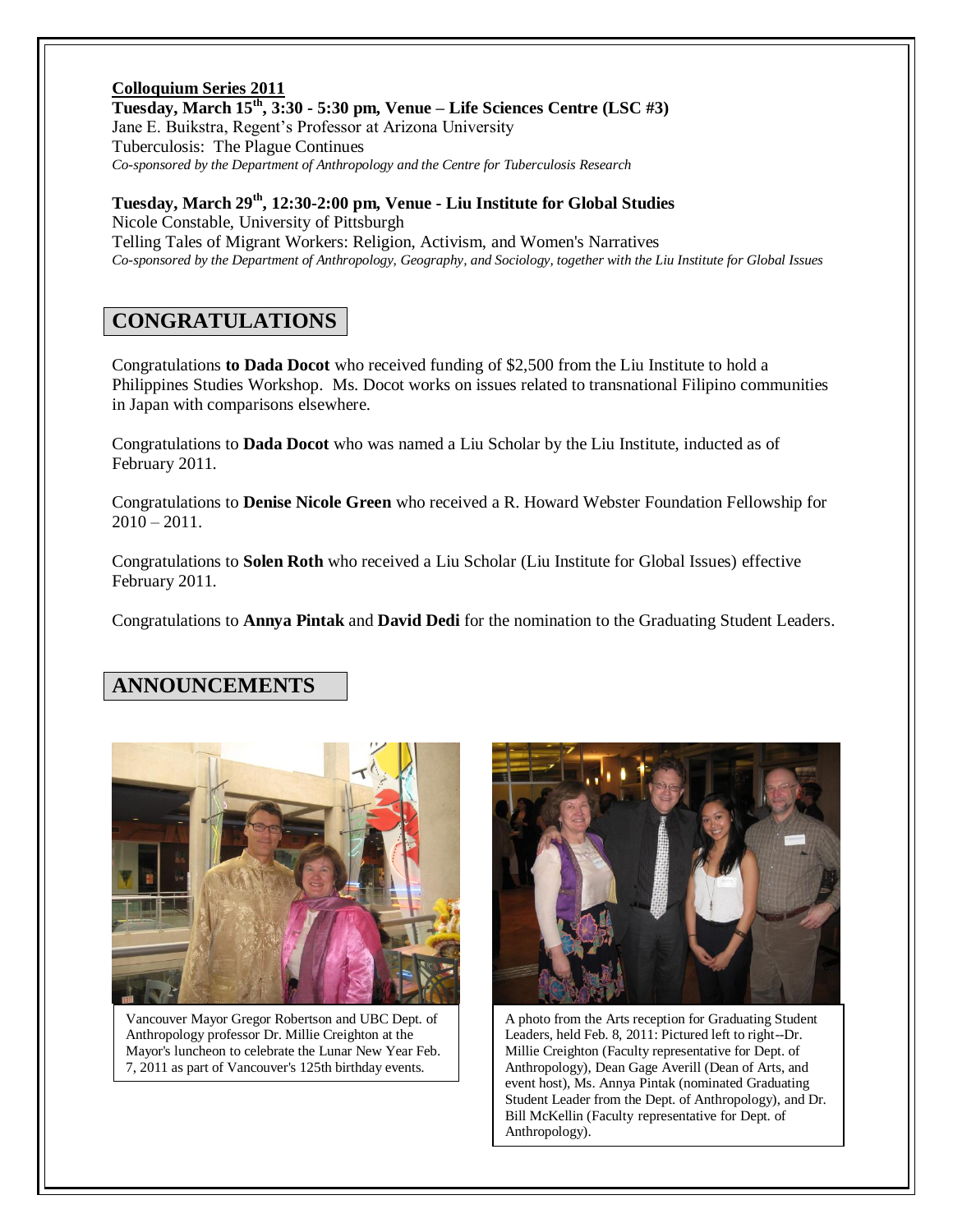### **Colloquium Series 2011 Tuesday, March 15th, 3:30 - 5:30 pm, Venue – Life Sciences Centre (LSC #3)** Jane E. Buikstra, Regent's Professor at Arizona University Tuberculosis: The Plague Continues *Co-sponsored by the Department of Anthropology and the Centre for Tuberculosis Research*

**Tuesday, March 29th, 12:30-2:00 pm, Venue - Liu Institute for Global Studies** Nicole Constable, University of Pittsburgh Telling Tales of Migrant Workers: Religion, Activism, and Women's Narratives *Co-sponsored by the Department of Anthropology, Geography, and Sociology, together with the Liu Institute for Global Issues*

# **CONGRATULATIONS**

Congratulations **to Dada Docot** who received funding of \$2,500 from the Liu Institute to hold a Philippines Studies Workshop. Ms. Docot works on issues related to transnational Filipino communities in Japan with comparisons elsewhere.

Congratulations to **Dada Docot** who was named a Liu Scholar by the Liu Institute, inducted as of February 2011.

Congratulations to **Denise Nicole Green** who received a R. Howard Webster Foundation Fellowship for  $2010 - 2011.$ 

Congratulations to **Solen Roth** who received a Liu Scholar (Liu Institute for Global Issues) effective February 2011.

Congratulations to **Annya Pintak** and **David Dedi** for the nomination to the Graduating Student Leaders.

# **ANNOUNCEMENTS**



Vancouver Mayor Gregor Robertson and UBC Dept. of Anthropology professor Dr. Millie Creighton at the Mayor's luncheon to celebrate the Lunar New Year Feb. 7, 2011 as part of Vancouver's 125th birthday events.



A photo from the Arts reception for Graduating Student Leaders, held Feb. 8, 2011: Pictured left to right--Dr. Millie Creighton (Faculty representative for Dept. of Anthropology), Dean Gage Averill (Dean of Arts, and event host), Ms. Annya Pintak (nominated Graduating Student Leader from the Dept. of Anthropology), and Dr. Bill McKellin (Faculty representative for Dept. of Anthropology).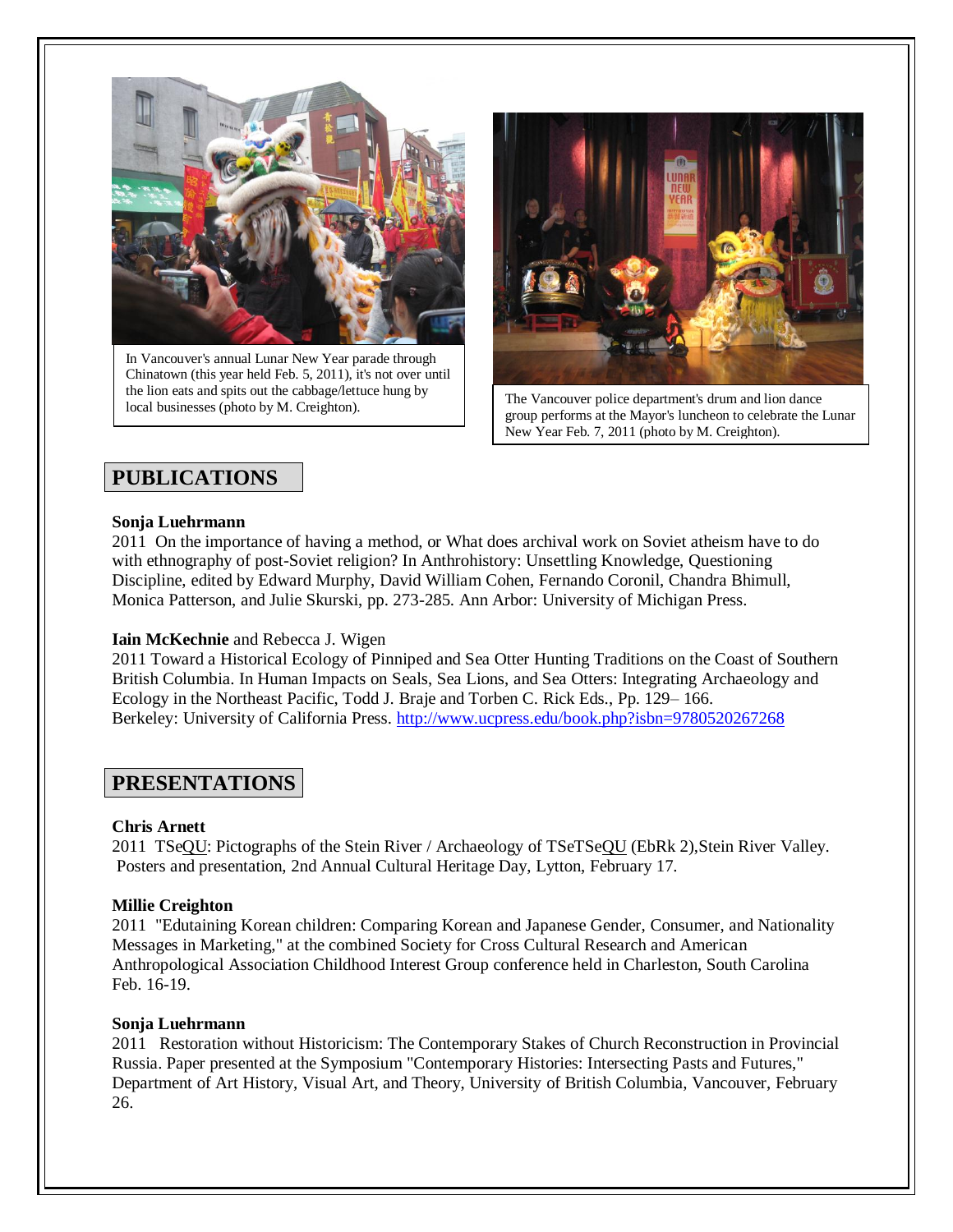

In Vancouver's annual Lunar New Year parade through Chinatown (this year held Feb. 5, 2011), it's not over until the lion eats and spits out the cabbage/lettuce hung by local businesses (photo by M. Creighton). The Vancouver police department's drum and lion dance<br>cal businesses (photo by M. Creighton).



group performs at the Mayor's luncheon to celebrate the Lunar New Year Feb. 7, 2011 (photo by M. Creighton).

# **PUBLICATIONS**

### **Sonja Luehrmann**

2011 On the importance of having a method, or What does archival work on Soviet atheism have to do with ethnography of post-Soviet religion? In Anthrohistory: Unsettling Knowledge, Questioning Discipline, edited by Edward Murphy, David William Cohen, Fernando Coronil, Chandra Bhimull, Monica Patterson, and Julie Skurski, pp. 273-285. Ann Arbor: University of Michigan Press.

## **Iain McKechnie** and Rebecca J. Wigen

2011 Toward a Historical Ecology of Pinniped and Sea Otter Hunting Traditions on the Coast of Southern British Columbia. In Human Impacts on Seals, Sea Lions, and Sea Otters: Integrating Archaeology and Ecology in the Northeast Pacific, Todd J. Braje and Torben C. Rick Eds., Pp. 129– 166. Berkeley: University of California Press. <http://www.ucpress.edu/book.php?isbn=9780520267268>

# **PRESENTATIONS**

## **Chris Arnett**

2011 TSeQU: Pictographs of the Stein River / Archaeology of TSeTSeQU (EbRk 2),Stein River Valley. Posters and presentation, 2nd Annual Cultural Heritage Day, Lytton, February 17.

### **Millie Creighton**

2011 "Edutaining Korean children: Comparing Korean and Japanese Gender, Consumer, and Nationality Messages in Marketing," at the combined Society for Cross Cultural Research and American Anthropological Association Childhood Interest Group conference held in Charleston, South Carolina Feb. 16-19.

### **Sonja Luehrmann**

2011 Restoration without Historicism: The Contemporary Stakes of Church Reconstruction in Provincial Russia. Paper presented at the Symposium "Contemporary Histories: Intersecting Pasts and Futures," Department of Art History, Visual Art, and Theory, University of British Columbia, Vancouver, February 26.